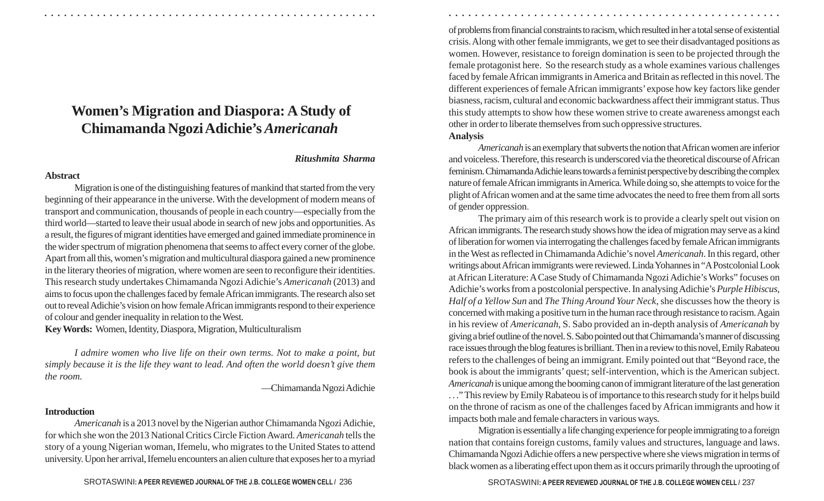# **Women's Migration and Diaspora: A Study of Chimamanda Ngozi Adichie's** *Americanah*

### *Ritushmita Sharma*

#### **Abstract**

Migration is one of the distinguishing features of mankind that started from the very beginning of their appearance in the universe. With the development of modern means of transport and communication, thousands of people in each country—especially from the third world—started to leave their usual abode in search of new jobs and opportunities. As a result, the figures of migrant identities have emerged and gained immediate prominence in the wider spectrum of migration phenomena that seems to affect every corner of the globe. Apart from all this, women's migration and multicultural diaspora gained a new prominence in the literary theories of migration, where women are seen to reconfigure their identities. This research study undertakes Chimamanda Ngozi Adichie's *Americanah* (2013) and aims to focus upon the challenges faced by female African immigrants. The research also set out to reveal Adichie's vision on how female African immigrants respond to their experience of colour and gender inequality in relation to the West.

**Key Words:** Women, Identity, Diaspora, Migration, Multiculturalism

*I admire women who live life on their own terms. Not to make a point, but simply because it is the life they want to lead. And often the world doesn't give them the room.*

—Chimamanda Ngozi Adichie

## **Introduction**

*Americanah* is a 2013 novel by the Nigerian author Chimamanda Ngozi Adichie, for which she won the 2013 National Critics Circle Fiction Award. *Americanah* tells the story of a young Nigerian woman, Ifemelu, who migrates to the United States to attend university. Upon her arrival, Ifemelu encounters an alien culture that exposes her to a myriad

SROTASWINI: A PEER REVIEWED JOURNAL OF THE J.B. COLLEGE WOMEN CELL / 236 **2008** SROTASWINI: A PEER REVIEWED JOURNAL OF THE J.B. COLLEGE WOMEN CELL / 237

of problems from financial constraints to racism, which resulted in her a total sense of existential crisis. Along with other female immigrants, we get to see their disadvantaged positions as women. However, resistance to foreign domination is seen to be projected through the female protagonist here. So the research study as a whole examines various challenges faced by female African immigrants in America and Britain as reflected in this novel. The different experiences of female African immigrants' expose how key factors like gender biasness, racism, cultural and economic backwardness affect their immigrant status. Thus this study attempts to show how these women strive to create awareness amongst each other in order to liberate themselves from such oppressive structures. **Analysis**

○ ○ ○ ○ ○ ○ ○ ○ ○ ○ ○ ○ ○ ○ ○ ○ ○ ○ ○ ○ ○ ○ ○ ○ ○ ○ ○ ○ ○ ○ ○ ○ ○ ○ ○ ○ ○ ○ ○ ○ ○ ○ ○ ○ ○ ○ ○ ○ ○ ○ ○ ○ ○ ○ ○ ○ ○ ○ ○ ○ ○ ○ ○ ○ ○ ○ ○ ○ ○ ○ ○ ○ ○ ○ ○ ○ ○ ○ ○ ○ ○ ○ ○ ○ ○ ○ ○ ○ ○ ○ ○ ○ ○ ○ ○ ○ ○ ○ ○ ○ ○ ○

*Americanah* is an exemplary that subverts the notion that African women are inferior and voiceless. Therefore, this research is underscored via the theoretical discourse of African feminism. Chimamanda Adichie leans towards a feminist perspective by describing the complex nature of female African immigrants in America. While doing so, she attempts to voice for the plight of African women and at the same time advocates the need to free them from all sorts of gender oppression.

The primary aim of this research work is to provide a clearly spelt out vision on African immigrants. The research study shows how the idea of migration may serve as a kind of liberation for women via interrogating the challenges faced by female African immigrants in the West as reflected in Chimamanda Adichie's novel *Americanah*. In this regard, other writings about African immigrants were reviewed. Linda Yohannes in "A Postcolonial Look at African Literature: A Case Study of Chimamanda Ngozi Adichie's Works" focuses on Adichie's works from a postcolonial perspective. In analysing Adichie's *Purple Hibiscus, Half of a Yellow Sun* and *The Thing Around Your Neck*, she discusses how the theory is concerned with making a positive turn in the human race through resistance to racism. Again in his review of *Americanah*, S. Sabo provided an in-depth analysis of *Americanah* by giving a brief outline of the novel. S. Sabo pointed out that Chimamanda's manner of discussing race issues through the blog features is brilliant. Then in a review to this novel, Emily Rabateou refers to the challenges of being an immigrant. Emily pointed out that "Beyond race, the book is about the immigrants' quest; self-intervention, which is the American subject. *Americanah* is unique among the booming canon of immigrant literature of the last generation . . ." This review by Emily Rabateou is of importance to this research study for it helps build on the throne of racism as one of the challenges faced by African immigrants and how it impacts both male and female characters in various ways.

Migration is essentially a life changing experience for people immigrating to a foreign nation that contains foreign customs, family values and structures, language and laws. Chimamanda Ngozi Adichie offers a new perspective where she views migration in terms of black women as a liberating effect upon them as it occurs primarily through the uprooting of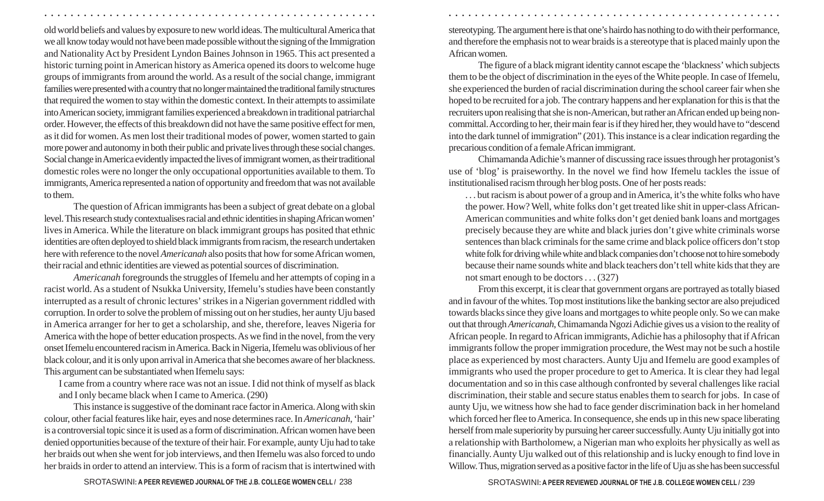old world beliefs and values by exposure to new world ideas. The multicultural America that we all know today would not have been made possible without the signing of the Immigration and Nationality Act by President Lyndon Baines Johnson in 1965. This act presented a historic turning point in American history as America opened its doors to welcome huge groups of immigrants from around the world. As a result of the social change, immigrant families were presented with a country that no longer maintained the traditional family structures that required the women to stay within the domestic context. In their attempts to assimilate into American society, immigrant families experienced a breakdown in traditional patriarchal order. However, the effects of this breakdown did not have the same positive effect for men, as it did for women. As men lost their traditional modes of power, women started to gain more power and autonomy in both their public and private lives through these social changes. Social change in America evidently impacted the lives of immigrant women, as their traditional domestic roles were no longer the only occupational opportunities available to them. To immigrants, America represented a nation of opportunity and freedom that was not available to them.

○ ○ ○ ○ ○ ○ ○ ○ ○ ○ ○ ○ ○ ○ ○ ○ ○ ○ ○ ○ ○ ○ ○ ○ ○ ○ ○ ○ ○ ○ ○ ○ ○ ○ ○ ○ ○ ○ ○ ○ ○ ○ ○ ○ ○ ○ ○ ○ ○ ○ ○ ○ ○ ○ ○ ○ ○ ○ ○ ○ ○ ○ ○ ○ ○ ○ ○ ○ ○ ○ ○ ○ ○ ○ ○ ○ ○ ○ ○ ○ ○ ○ ○ ○ ○ ○ ○ ○ ○ ○ ○ ○ ○ ○ ○ ○ ○ ○ ○ ○ ○ ○

The question of African immigrants has been a subject of great debate on a global level. This research study contextualises racial and ethnic identities in shaping African women' lives in America. While the literature on black immigrant groups has posited that ethnic identities are often deployed to shield black immigrants from racism, the research undertaken here with reference to the novel *Americanah* also posits that how for some African women, their racial and ethnic identities are viewed as potential sources of discrimination.

*Americanah* foregrounds the struggles of Ifemelu and her attempts of coping in a racist world. As a student of Nsukka University, Ifemelu's studies have been constantly interrupted as a result of chronic lectures' strikes in a Nigerian government riddled with corruption. In order to solve the problem of missing out on her studies, her aunty Uju based in America arranger for her to get a scholarship, and she, therefore, leaves Nigeria for America with the hope of better education prospects. As we find in the novel, from the very onset Ifemelu encountered racism in America. Back in Nigeria, Ifemelu was oblivious of her black colour, and it is only upon arrival in America that she becomes aware of her blackness. This argument can be substantiated when Ifemelu says:

I came from a country where race was not an issue. I did not think of myself as black and I only became black when I came to America. (290)

This instance is suggestive of the dominant race factor in America. Along with skin colour, other facial features like hair, eyes and nose determines race. In *Americanah*, 'hair' is a controversial topic since it is used as a form of discrimination. African women have been denied opportunities because of the texture of their hair. For example, aunty Uju had to take her braids out when she went for job interviews, and then Ifemelu was also forced to undo her braids in order to attend an interview. This is a form of racism that is intertwined with stereotyping. The argument here is that one's hairdo has nothing to do with their performance, and therefore the emphasis not to wear braids is a stereotype that is placed mainly upon the African women.

The figure of a black migrant identity cannot escape the 'blackness' which subjects them to be the object of discrimination in the eyes of the White people. In case of Ifemelu, she experienced the burden of racial discrimination during the school career fair when she hoped to be recruited for a job. The contrary happens and her explanation for this is that the recruiters upon realising that she is non-American, but rather an African ended up being noncommittal. According to her, their main fear is if they hired her, they would have to "descend into the dark tunnel of immigration" (201). This instance is a clear indication regarding the precarious condition of a female African immigrant.

Chimamanda Adichie's manner of discussing race issues through her protagonist's use of 'blog' is praiseworthy. In the novel we find how Ifemelu tackles the issue of institutionalised racism through her blog posts. One of her posts reads:

. . . but racism is about power of a group and in America, it's the white folks who have the power. How? Well, white folks don't get treated like shit in upper-class African-American communities and white folks don't get denied bank loans and mortgages precisely because they are white and black juries don't give white criminals worse sentences than black criminals for the same crime and black police officers don't stop white folk for driving while white and black companies don't choose not to hire somebody because their name sounds white and black teachers don't tell white kids that they are not smart enough to be doctors . . . (327)

From this excerpt, it is clear that government organs are portrayed as totally biased and in favour of the whites. Top most institutions like the banking sector are also prejudiced towards blacks since they give loans and mortgages to white people only. So we can make out that through *Americanah*, Chimamanda Ngozi Adichie gives us a vision to the reality of African people. In regard to African immigrants, Adichie has a philosophy that if African immigrants follow the proper immigration procedure, the West may not be such a hostile place as experienced by most characters. Aunty Uju and Ifemelu are good examples of immigrants who used the proper procedure to get to America. It is clear they had legal documentation and so in this case although confronted by several challenges like racial discrimination, their stable and secure status enables them to search for jobs. In case of aunty Uju, we witness how she had to face gender discrimination back in her homeland which forced her flee to America. In consequence, she ends up in this new space liberating herself from male superiority by pursuing her career successfully. Aunty Uju initially got into a relationship with Bartholomew, a Nigerian man who exploits her physically as well as financially. Aunty Uju walked out of this relationship and is lucky enough to find love in Willow. Thus, migration served as a positive factor in the life of Uju as she has been successful